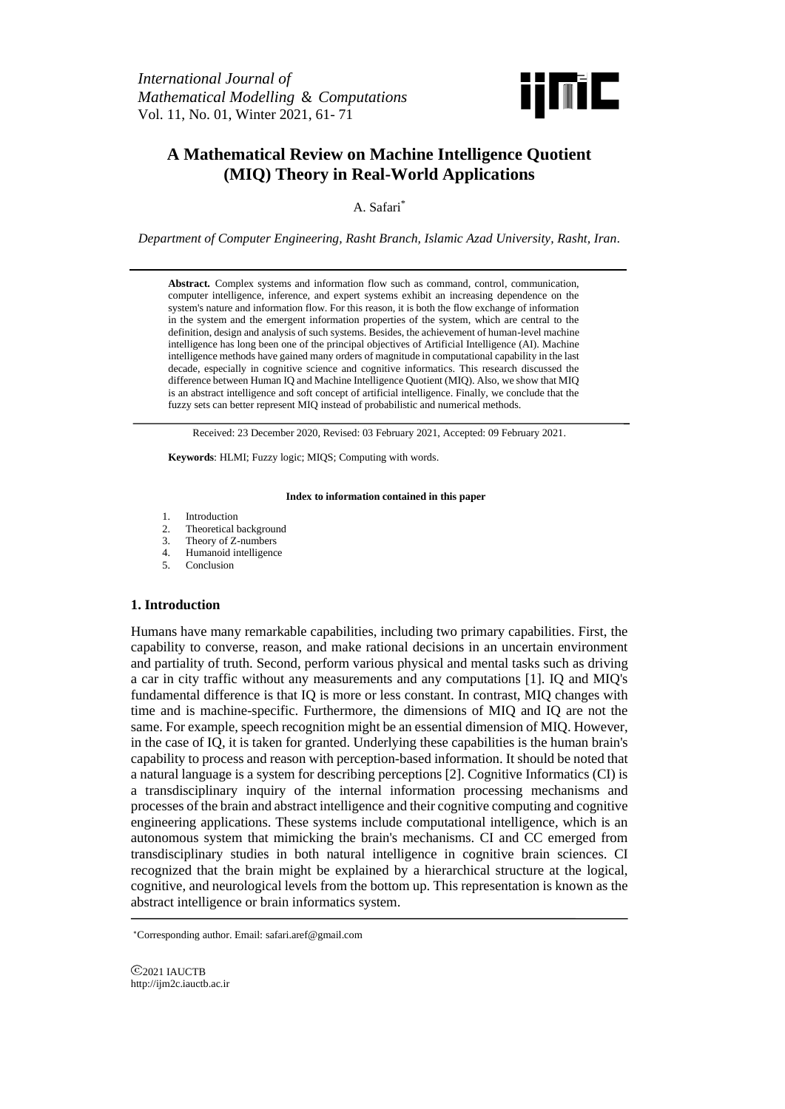*International Journal of Mathematical Modelling* & *Computations* Vol. 11, No. 01, Winter 2021, 61- 71



# **A Mathematical Review on Machine Intelligence Quotient (MIQ) Theory in Real-World Applications**

A. Safari\*

*Department of Computer Engineering, Rasht Branch, Islamic Azad University, Rasht, Iran.*

**Abstract.** Complex systems and information flow such as command, control, communication, computer intelligence, inference, and expert systems exhibit an increasing dependence on the system's nature and information flow. For this reason, it is both the flow exchange of information in the system and the emergent information properties of the system, which are central to the definition, design and analysis of such systems. Besides, the achievement of human-level machine intelligence has long been one of the principal objectives of Artificial Intelligence (AI). Machine intelligence methods have gained many orders of magnitude in computational capability in the last decade, especially in cognitive science and cognitive informatics. This research discussed the difference between Human IQ and Machine Intelligence Quotient (MIQ). Also, we show that MIQ is an abstract intelligence and soft concept of artificial intelligence. Finally, we conclude that the fuzzy sets can better represent MIQ instead of probabilistic and numerical methods.

Received: 23 December 2020, Revised: 03 February 2021, Accepted: 09 February 2021.

**Keywords**: HLMI; Fuzzy logic; MIQS; Computing with words.

#### **Index to information contained in this paper**

- 1. Introduction
- 2. Theoretical background<br>3. Theory of Z-numbers
- 3. Theory of Z-numbers
- 4. Humanoid intelligence
- 5. Conclusion

## **1. Introduction**

Humans have many remarkable capabilities, including two primary capabilities. First, the capability to converse, reason, and make rational decisions in an uncertain environment and partiality of truth. Second, perform various physical and mental tasks such as driving a car in city traffic without any measurements and any computations [1]. IQ and MIQ's fundamental difference is that IQ is more or less constant. In contrast, MIQ changes with time and is machine-specific. Furthermore, the dimensions of MIQ and IQ are not the same. For example, speech recognition might be an essential dimension of MIQ. However, in the case of IQ, it is taken for granted. Underlying these capabilities is the human brain's capability to process and reason with perception-based information. It should be noted that a natural language is a system for describing perceptions [2]. Cognitive Informatics (CI) is a transdisciplinary inquiry of the internal information processing mechanisms and processes of the brain and abstract intelligence and their cognitive computing and cognitive engineering applications. These systems include computational intelligence, which is an autonomous system that mimicking the brain's mechanisms. CI and CC emerged from transdisciplinary studies in both natural intelligence in cognitive brain sciences. CI recognized that the brain might be explained by a hierarchical structure at the logical, cognitive, and neurological levels from the bottom up. This representation is known as the abstract intelligence or brain informatics system.

2021 IAUCTB http://ijm2c.iauctb.ac.ir

<sup>∗</sup>Corresponding author. Email: safari.aref@gmail.com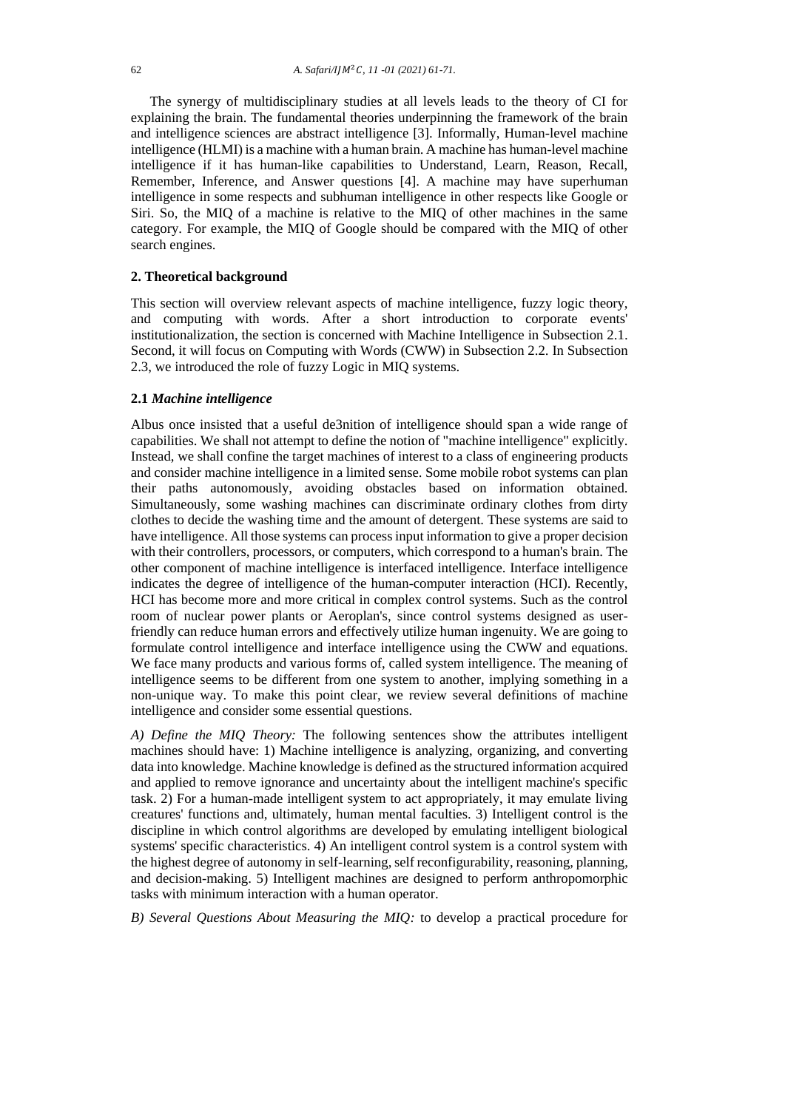The synergy of multidisciplinary studies at all levels leads to the theory of CI for explaining the brain. The fundamental theories underpinning the framework of the brain and intelligence sciences are abstract intelligence [3]. Informally, Human-level machine intelligence (HLMI) is a machine with a human brain. A machine has human-level machine intelligence if it has human-like capabilities to Understand, Learn, Reason, Recall, Remember, Inference, and Answer questions [4]. A machine may have superhuman intelligence in some respects and subhuman intelligence in other respects like Google or Siri. So, the MIQ of a machine is relative to the MIQ of other machines in the same category. For example, the MIQ of Google should be compared with the MIQ of other search engines.

## **2. Theoretical background**

This section will overview relevant aspects of machine intelligence, fuzzy logic theory, and computing with words. After a short introduction to corporate events' institutionalization, the section is concerned with Machine Intelligence in Subsection 2.1. Second, it will focus on Computing with Words (CWW) in Subsection 2.2. In Subsection 2.3, we introduced the role of fuzzy Logic in MIQ systems.

## **2.1** *Machine intelligence*

Albus once insisted that a useful de3nition of intelligence should span a wide range of capabilities. We shall not attempt to define the notion of "machine intelligence" explicitly. Instead, we shall confine the target machines of interest to a class of engineering products and consider machine intelligence in a limited sense. Some mobile robot systems can plan their paths autonomously, avoiding obstacles based on information obtained. Simultaneously, some washing machines can discriminate ordinary clothes from dirty clothes to decide the washing time and the amount of detergent. These systems are said to have intelligence. All those systems can process input information to give a proper decision with their controllers, processors, or computers, which correspond to a human's brain. The other component of machine intelligence is interfaced intelligence. Interface intelligence indicates the degree of intelligence of the human-computer interaction (HCI). Recently, HCI has become more and more critical in complex control systems. Such as the control room of nuclear power plants or Aeroplan's, since control systems designed as userfriendly can reduce human errors and effectively utilize human ingenuity. We are going to formulate control intelligence and interface intelligence using the CWW and equations. We face many products and various forms of, called system intelligence. The meaning of intelligence seems to be different from one system to another, implying something in a non-unique way. To make this point clear, we review several definitions of machine intelligence and consider some essential questions.

*A) Define the MIQ Theory:* The following sentences show the attributes intelligent machines should have: 1) Machine intelligence is analyzing, organizing, and converting data into knowledge. Machine knowledge is defined as the structured information acquired and applied to remove ignorance and uncertainty about the intelligent machine's specific task. 2) For a human-made intelligent system to act appropriately, it may emulate living creatures' functions and, ultimately, human mental faculties. 3) Intelligent control is the discipline in which control algorithms are developed by emulating intelligent biological systems' specific characteristics. 4) An intelligent control system is a control system with the highest degree of autonomy in self-learning, self reconfigurability, reasoning, planning, and decision-making. 5) Intelligent machines are designed to perform anthropomorphic tasks with minimum interaction with a human operator.

*B) Several Questions About Measuring the MIQ:* to develop a practical procedure for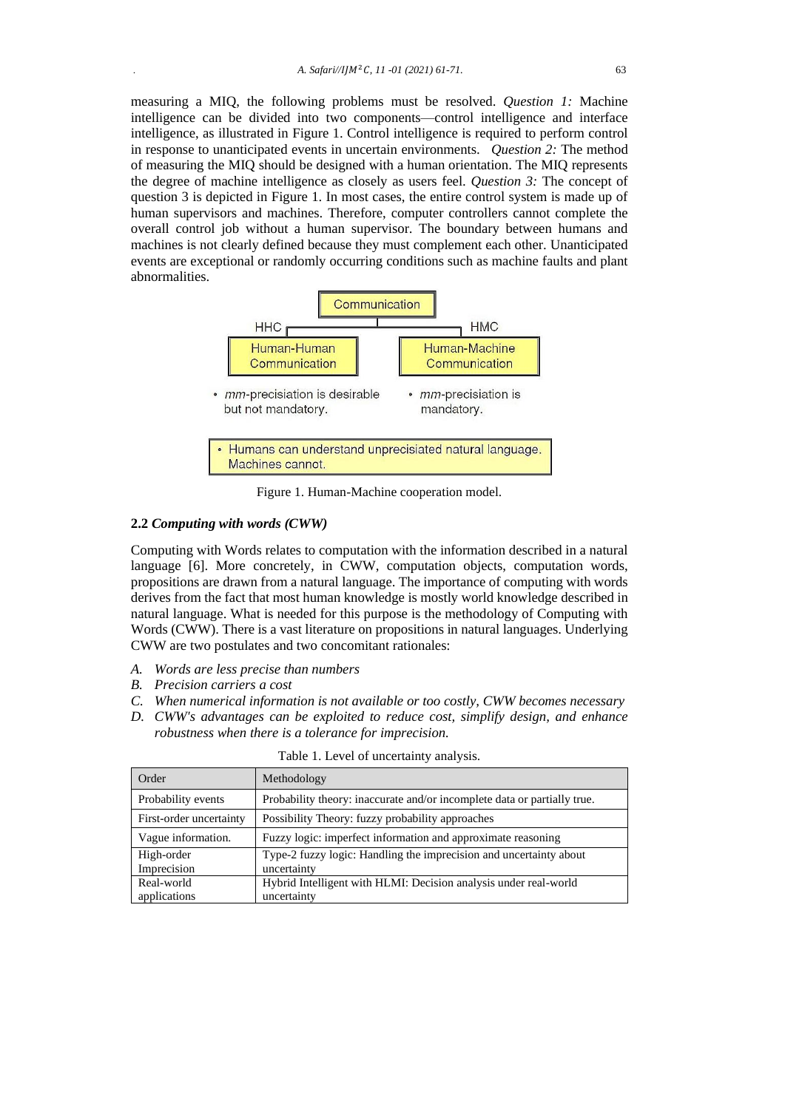measuring a MIQ, the following problems must be resolved. *Question 1:* Machine intelligence can be divided into two components—control intelligence and interface intelligence, as illustrated in Figure 1. Control intelligence is required to perform control in response to unanticipated events in uncertain environments. *Question 2:* The method of measuring the MIQ should be designed with a human orientation. The MIQ represents the degree of machine intelligence as closely as users feel. *Question 3:* The concept of question 3 is depicted in Figure 1. In most cases, the entire control system is made up of human supervisors and machines. Therefore, computer controllers cannot complete the overall control job without a human supervisor. The boundary between humans and machines is not clearly defined because they must complement each other. Unanticipated events are exceptional or randomly occurring conditions such as machine faults and plant abnormalities.



Figure 1. Human-Machine cooperation model.

## **2.2** *Computing with words (CWW)*

Computing with Words relates to computation with the information described in a natural language [6]. More concretely, in CWW, computation objects, computation words, propositions are drawn from a natural language. The importance of computing with words derives from the fact that most human knowledge is mostly world knowledge described in natural language. What is needed for this purpose is the methodology of Computing with Words (CWW). There is a vast literature on propositions in natural languages. Underlying CWW are two postulates and two concomitant rationales:

- *A. Words are less precise than numbers*
- *B. Precision carriers a cost*
- *C. When numerical information is not available or too costly, CWW becomes necessary*
- *D. CWW's advantages can be exploited to reduce cost, simplify design, and enhance robustness when there is a tolerance for imprecision.*

| Order                     | Methodology                                                                       |
|---------------------------|-----------------------------------------------------------------------------------|
| Probability events        | Probability theory: inaccurate and/or incomplete data or partially true.          |
| First-order uncertainty   | Possibility Theory: fuzzy probability approaches                                  |
| Vague information.        | Fuzzy logic: imperfect information and approximate reasoning                      |
| High-order<br>Imprecision | Type-2 fuzzy logic: Handling the imprecision and uncertainty about<br>uncertainty |
| Real-world                | Hybrid Intelligent with HLMI: Decision analysis under real-world                  |
| applications              | uncertainty                                                                       |

Table 1. Level of uncertainty analysis.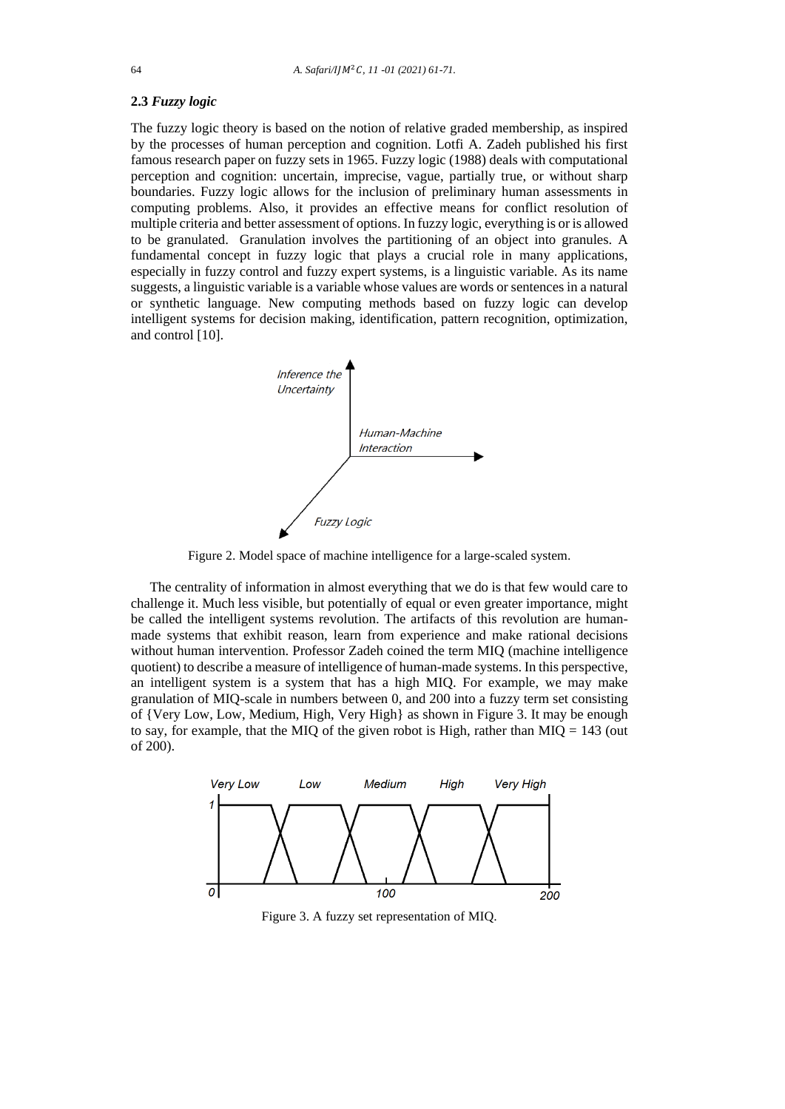# **2.3** *Fuzzy logic*

The fuzzy logic theory is based on the notion of relative graded membership, as inspired by the processes of human perception and cognition. Lotfi A. Zadeh published his first famous research paper on fuzzy sets in 1965. Fuzzy logic (1988) deals with computational perception and cognition: uncertain, imprecise, vague, partially true, or without sharp boundaries. Fuzzy logic allows for the inclusion of preliminary human assessments in computing problems. Also, it provides an effective means for conflict resolution of multiple criteria and better assessment of options. In fuzzy logic, everything is or is allowed to be granulated. Granulation involves the partitioning of an object into granules. A fundamental concept in fuzzy logic that plays a crucial role in many applications, especially in fuzzy control and fuzzy expert systems, is a linguistic variable. As its name suggests, a linguistic variable is a variable whose values are words or sentences in a natural or synthetic language. New computing methods based on fuzzy logic can develop intelligent systems for decision making, identification, pattern recognition, optimization, and control [10].



Figure 2. Model space of machine intelligence for a large-scaled system.

The centrality of information in almost everything that we do is that few would care to challenge it. Much less visible, but potentially of equal or even greater importance, might be called the intelligent systems revolution. The artifacts of this revolution are humanmade systems that exhibit reason, learn from experience and make rational decisions without human intervention. Professor Zadeh coined the term MIQ (machine intelligence quotient) to describe a measure of intelligence of human-made systems. In this perspective, an intelligent system is a system that has a high MIQ. For example, we may make granulation of MIQ-scale in numbers between 0, and 200 into a fuzzy term set consisting of {Very Low, Low, Medium, High, Very High} as shown in Figure 3. It may be enough to say, for example, that the MIQ of the given robot is High, rather than MIQ =  $143$  (out of 200).



Figure 3. A fuzzy set representation of MIQ.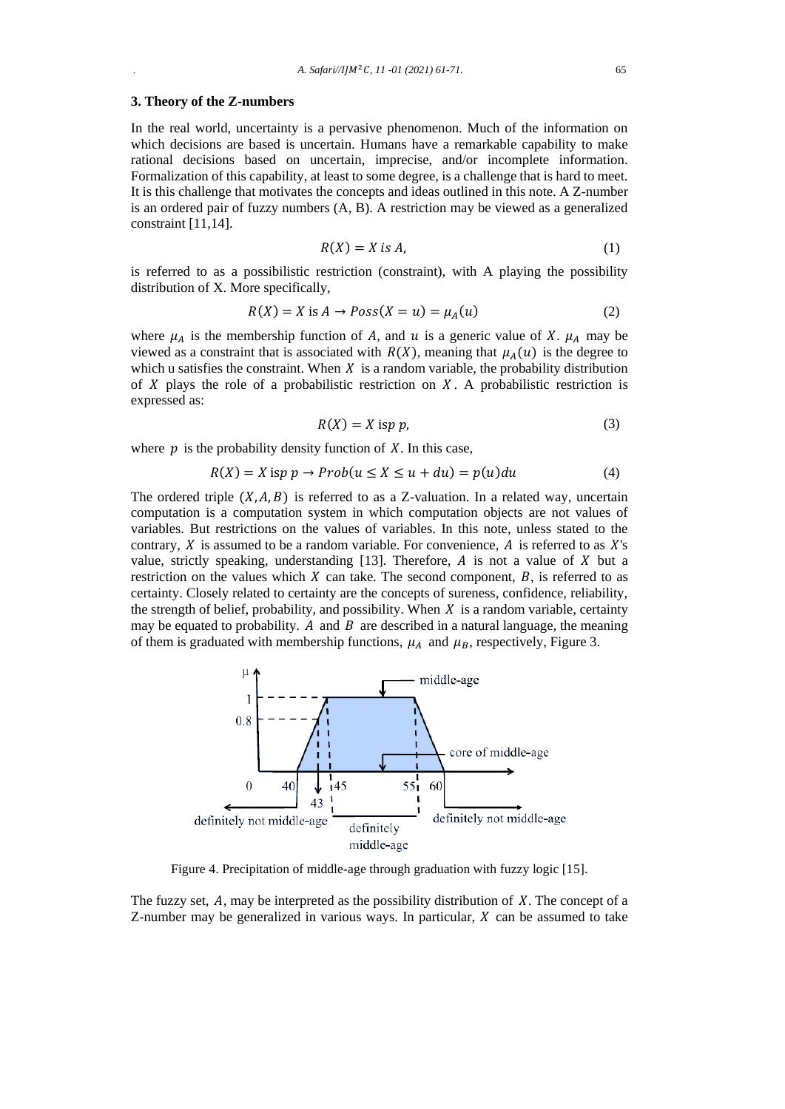#### **3. Theory of the Z-numbers**

In the real world, uncertainty is a pervasive phenomenon. Much of the information on which decisions are based is uncertain. Humans have a remarkable capability to make rational decisions based on uncertain, imprecise, and/or incomplete information. Formalization of this capability, at least to some degree, is a challenge that is hard to meet. It is this challenge that motivates the concepts and ideas outlined in this note. A Z-number is an ordered pair of fuzzy numbers (A, B). A restriction may be viewed as a generalized constraint [11,14].

$$
R(X) = X \text{ is } A,\tag{1}
$$

is referred to as a possibilistic restriction (constraint), with A playing the possibility distribution of X. More specifically,

$$
R(X) = X \text{ is } A \to \text{Poss}(X = u) = \mu_A(u) \tag{2}
$$

where  $\mu_A$  is the membership function of A, and u is a generic value of X.  $\mu_A$  may be viewed as a constraint that is associated with  $R(X)$ , meaning that  $\mu_A(u)$  is the degree to which u satisfies the constraint. When  $X$  is a random variable, the probability distribution of X plays the role of a probabilistic restriction on X. A probabilistic restriction is expressed as:

$$
R(X) = X \text{ is } p \tag{3}
$$

where  $p$  is the probability density function of  $X$ . In this case,

$$
R(X) = X \text{ is } p \to Prob(u \le X \le u + du) = p(u)du \tag{4}
$$

The ordered triple  $(X, A, B)$  is referred to as a Z-valuation. In a related way, uncertain computation is a computation system in which computation objects are not values of variables. But restrictions on the values of variables. In this note, unless stated to the contrary,  $X$  is assumed to be a random variable. For convenience,  $A$  is referred to as  $X$ 's value, strictly speaking, understanding  $[13]$ . Therefore, A is not a value of X but a restriction on the values which  $X$  can take. The second component,  $B$ , is referred to as certainty. Closely related to certainty are the concepts of sureness, confidence, reliability, the strength of belief, probability, and possibility. When  $X$  is a random variable, certainty may be equated to probability. A and  $B$  are described in a natural language, the meaning of them is graduated with membership functions,  $\mu_A$  and  $\mu_B$ , respectively, Figure 3.



Figure 4. Precipitation of middle-age through graduation with fuzzy logic [15].

The fuzzy set,  $A$ , may be interpreted as the possibility distribution of  $X$ . The concept of a Z-number may be generalized in various ways. In particular,  $X$  can be assumed to take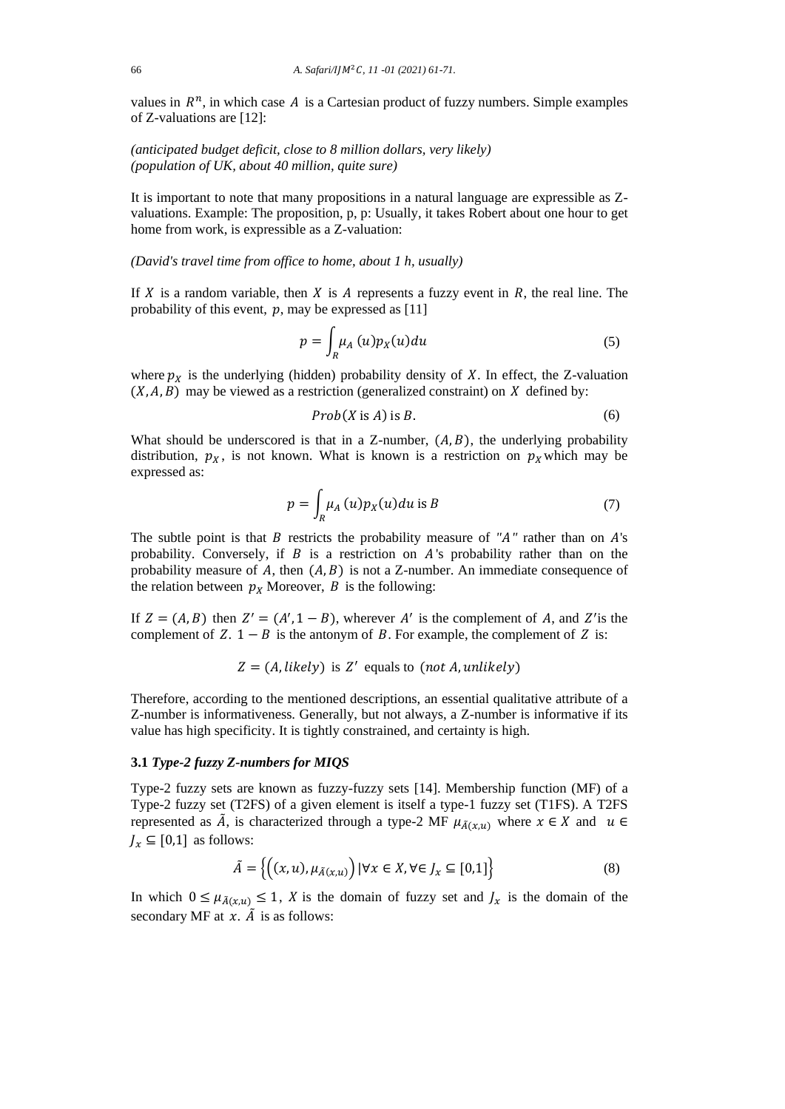values in  $R^n$ , in which case A is a Cartesian product of fuzzy numbers. Simple examples of Z-valuations are [12]:

*(anticipated budget deficit, close to 8 million dollars, very likely) (population of UK, about 40 million, quite sure)*

It is important to note that many propositions in a natural language are expressible as Zvaluations. Example: The proposition, p, p: Usually, it takes Robert about one hour to get home from work, is expressible as a Z-valuation:

*(David's travel time from office to home, about 1 h, usually)* 

If  $X$  is a random variable, then  $X$  is  $A$  represents a fuzzy event in  $R$ , the real line. The probability of this event,  $p$ , may be expressed as [11]

$$
p = \int_{R} \mu_A(u) p_X(u) du \tag{5}
$$

where  $p_X$  is the underlying (hidden) probability density of X. In effect, the Z-valuation  $(X, A, B)$  may be viewed as a restriction (generalized constraint) on X defined by:

$$
Prob(X \text{ is } A) \text{ is } B. \tag{6}
$$

What should be underscored is that in a Z-number,  $(A, B)$ , the underlying probability distribution,  $p_X$ , is not known. What is known is a restriction on  $p_X$  which may be expressed as:

$$
p = \int_{R} \mu_A(u) p_X(u) du \text{ is } B \tag{7}
$$

The subtle point is that  $B$  restricts the probability measure of  $H''$  rather than on  $A$ 's probability. Conversely, if  $B$  is a restriction on  $A$ 's probability rather than on the probability measure of A, then  $(A, B)$  is not a Z-number. An immediate consequence of the relation between  $p<sub>X</sub>$  Moreover, B is the following:

If  $Z = (A, B)$  then  $Z' = (A', 1 - B)$ , wherever A' is the complement of A, and Z'is the complement of  $Z$ .  $1 - B$  is the antonym of  $B$ . For example, the complement of  $Z$  is:

 $Z = (A, likely)$  is Z' equals to (not A, unlikely)

Therefore, according to the mentioned descriptions, an essential qualitative attribute of a Z-number is informativeness. Generally, but not always, a Z-number is informative if its value has high specificity. It is tightly constrained, and certainty is high.

# **3.1** *Type-2 fuzzy Z-numbers for MIQS*

Type-2 fuzzy sets are known as fuzzy-fuzzy sets [14]. Membership function (MF) of a Type-2 fuzzy set (T2FS) of a given element is itself a type-1 fuzzy set (T1FS). A T2FS represented as  $\tilde{A}$ , is characterized through a type-2 MF  $\mu_{\tilde{A}(x,u)}$  where  $x \in X$  and  $u \in$  $J_x \subseteq [0,1]$  as follows:

$$
\tilde{A} = \left\{ \left( (x, u), \mu_{\tilde{A}(x, u)} \right) \mid \forall x \in X, \forall \in J_x \subseteq [0, 1] \right\}
$$
\n
$$
(8)
$$

In which  $0 \leq \mu_{\tilde{A}(x,u)} \leq 1$ , X is the domain of fuzzy set and  $J_x$  is the domain of the secondary MF at  $x$ .  $\tilde{A}$  is as follows: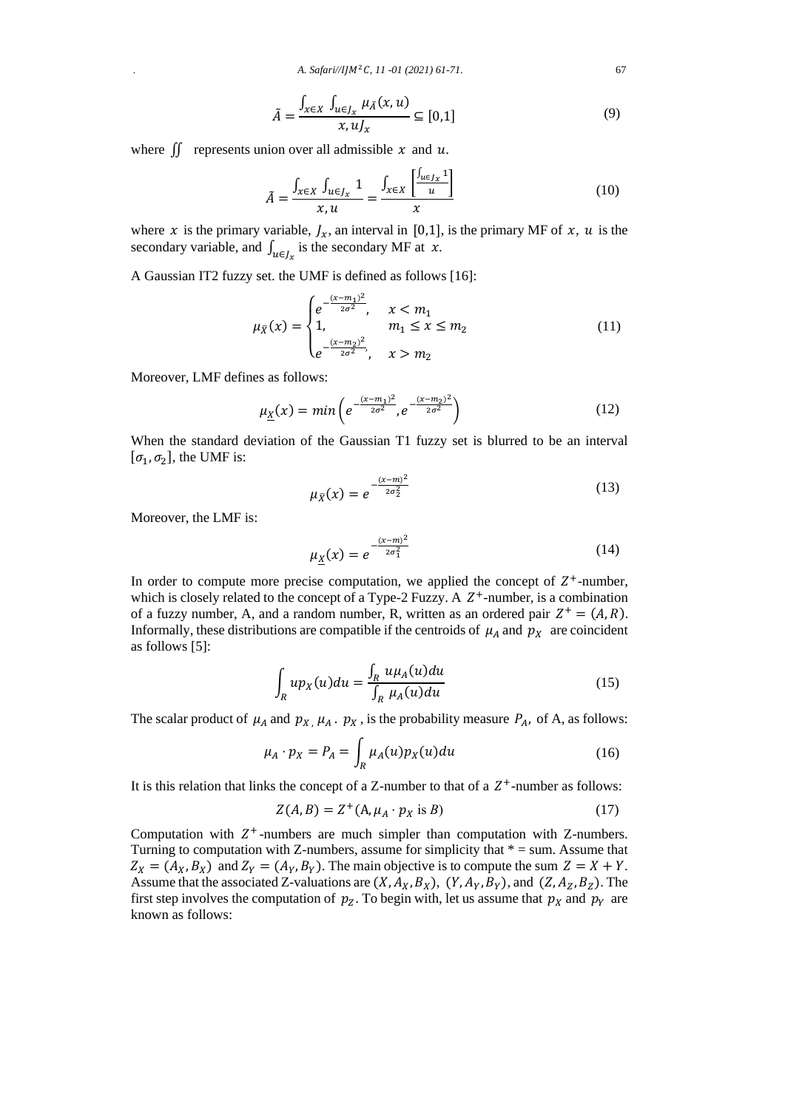$$
\tilde{A} = \frac{\int_{x \in X} \int_{u \in J_x} \mu_{\tilde{A}}(x, u)}{x, u J_x} \subseteq [0, 1]
$$
\n(9)

where  $\iint$  represents union over all admissible x and u.

$$
\tilde{A} = \frac{\int_{x \in X} \int_{u \in J_x} 1}{x, u} = \frac{\int_{x \in X} \left[ \frac{\int_{u \in J_x} 1}{u} \right]}{x}
$$
(10)

where *x* is the primary variable,  $J_x$ , an interval in [0,1], is the primary MF of *x*, *u* is the secondary variable, and  $\int_{u \in J_x}$  is the secondary MF at *x*.

A Gaussian IT2 fuzzy set. the UMF is defined as follows [16]:

$$
\mu_{\bar{X}}(x) = \begin{cases} e^{-\frac{(x-m_1)^2}{2\sigma^2}}, & x < m_1 \\ 1, & m_1 \le x \le m_2 \\ e^{-\frac{(x-m_2)^2}{2\sigma^2}}, & x > m_2 \end{cases}
$$
(11)

Moreover, LMF defines as follows:

$$
\mu_{\underline{x}}(x) = \min\left(e^{-\frac{(x-m_1)^2}{2\sigma^2}}, e^{-\frac{(x-m_2)^2}{2\sigma^2}}\right)
$$
(12)

When the standard deviation of the Gaussian T1 fuzzy set is blurred to be an interval  $[\sigma_1, \sigma_2]$ , the UMF is:

$$
\mu_{\bar{X}}(x) = e^{-\frac{(x-m)^2}{2\sigma_2^2}}
$$
\n(13)

Moreover, the LMF is:

$$
\mu_X(x) = e^{-\frac{(x-m)^2}{2\sigma_1^2}} \tag{14}
$$

In order to compute more precise computation, we applied the concept of  $Z^+$ -number, which is closely related to the concept of a Type-2 Fuzzy. A  $Z^+$ -number, is a combination of a fuzzy number, A, and a random number, R, written as an ordered pair  $Z^+ = (A, R)$ . Informally, these distributions are compatible if the centroids of  $\mu_A$  and  $p_X$  are coincident as follows [5]:

$$
\int_{R} up_X(u) du = \frac{\int_{R} u \mu_A(u) du}{\int_{R} \mu_A(u) du}
$$
\n(15)

The scalar product of  $\mu_A$  and  $p_{X}$ ,  $\mu_A$ .  $p_X$ , is the probability measure  $P_A$ , of A, as follows:

$$
\mu_A \cdot p_X = P_A = \int_R \mu_A(u) p_X(u) du \tag{16}
$$

It is this relation that links the concept of a Z-number to that of a  $Z^+$ -number as follows:

$$
Z(A,B) = Z^+(A, \mu_A \cdot p_X \text{ is } B)
$$
 (17)

Computation with  $Z^+$ -numbers are much simpler than computation with Z-numbers. Turning to computation with Z-numbers, assume for simplicity that  $* =$  sum. Assume that  $Z_X = (A_X, B_X)$  and  $Z_Y = (A_Y, B_Y)$ . The main objective is to compute the sum  $Z = X + Y$ . Assume that the associated Z-valuations are  $(X, A_X, B_X)$ ,  $(Y, A_Y, B_Y)$ , and  $(Z, A_Z, B_Z)$ . The first step involves the computation of  $p_z$ . To begin with, let us assume that  $p_x$  and  $p_y$  are known as follows: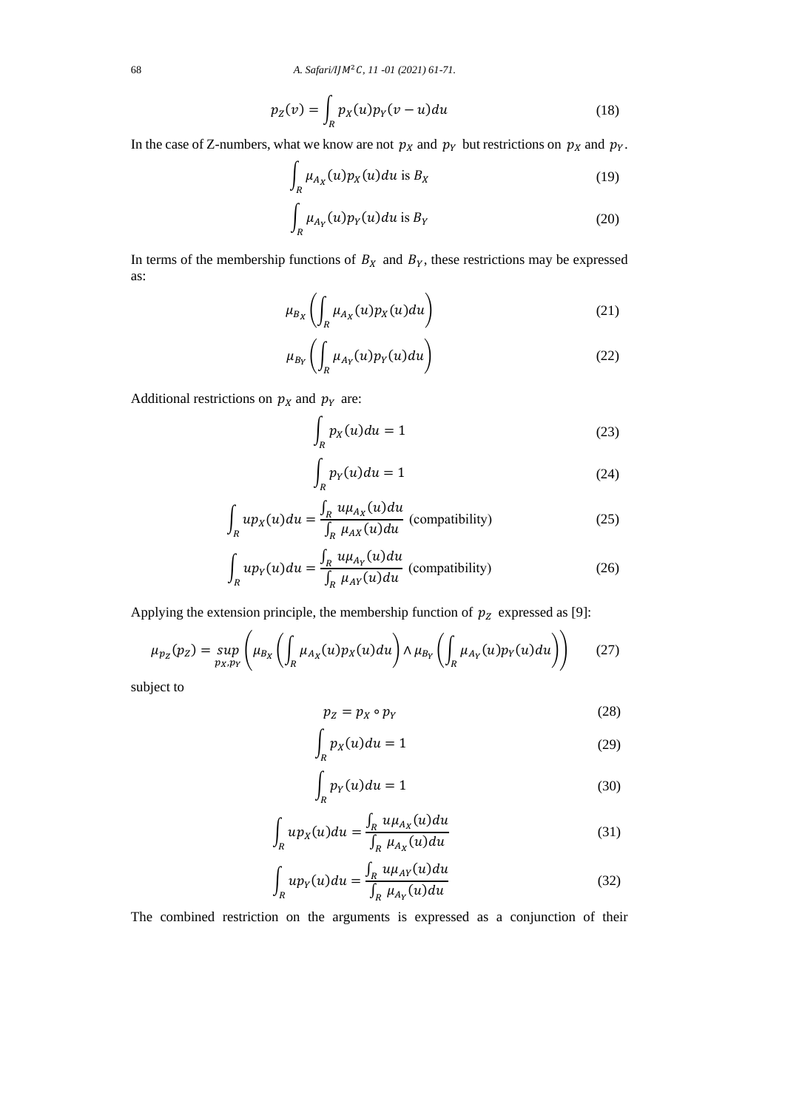$$
p_Z(v) = \int_R p_X(u)p_Y(v-u)du
$$
\n(18)

In the case of Z-numbers, what we know are not  $p_x$  and  $p_y$  but restrictions on  $p_x$  and  $p_y$ .

$$
\int_{R} \mu_{A_X}(u) p_X(u) du \text{ is } B_X \tag{19}
$$

$$
\int_{R} \mu_{A_Y}(u) p_Y(u) du \text{ is } B_Y \tag{20}
$$

In terms of the membership functions of  $B<sub>X</sub>$  and  $B<sub>Y</sub>$ , these restrictions may be expressed as:

$$
\mu_{B_X}\left(\int_R \mu_{A_X}(u) p_X(u) du\right) \tag{21}
$$

$$
\mu_{B_Y} \left( \int_R \mu_{A_Y}(u) p_Y(u) du \right) \tag{22}
$$

Additional restrictions on  $p<sub>X</sub>$  and  $p<sub>Y</sub>$  are:

$$
\int_{R} p_X(u) du = 1 \tag{23}
$$

$$
\int_{R} p_{Y}(u) du = 1 \tag{24}
$$

$$
\int_{R} up_X(u) du = \frac{\int_{R} u \mu_{A_X}(u) du}{\int_{R} \mu_{A_X}(u) du}
$$
 (compatibility) \t(25)

$$
\int_{R} up_{Y}(u) du = \frac{\int_{R} u \mu_{A_{Y}}(u) du}{\int_{R} \mu_{A_{Y}}(u) du}
$$
 (compatibility) \t(26)

Applying the extension principle, the membership function of  $p<sub>Z</sub>$  expressed as [9]:

$$
\mu_{p_Z}(p_Z) = \sup_{p_X, p_Y} \left( \mu_{B_X} \left( \int_R \mu_{A_X}(u) p_X(u) du \right) \wedge \mu_{B_Y} \left( \int_R \mu_{A_Y}(u) p_Y(u) du \right) \right) \tag{27}
$$

subject to

$$
p_Z = p_X \circ p_Y \tag{28}
$$

$$
\int_{R} p_X(u) du = 1 \tag{29}
$$

$$
\int_{R} p_{Y}(u) du = 1 \tag{30}
$$

$$
\int_{R} up_X(u) du = \frac{\int_{R} u \mu_{A_X}(u) du}{\int_{R} \mu_{A_X}(u) du}
$$
\n(31)

$$
\int_{R} u p_Y(u) du = \frac{\int_{R} u \mu_{AY}(u) du}{\int_{R} \mu_{A_Y}(u) du}
$$
\n(32)

The combined restriction on the arguments is expressed as a conjunction of their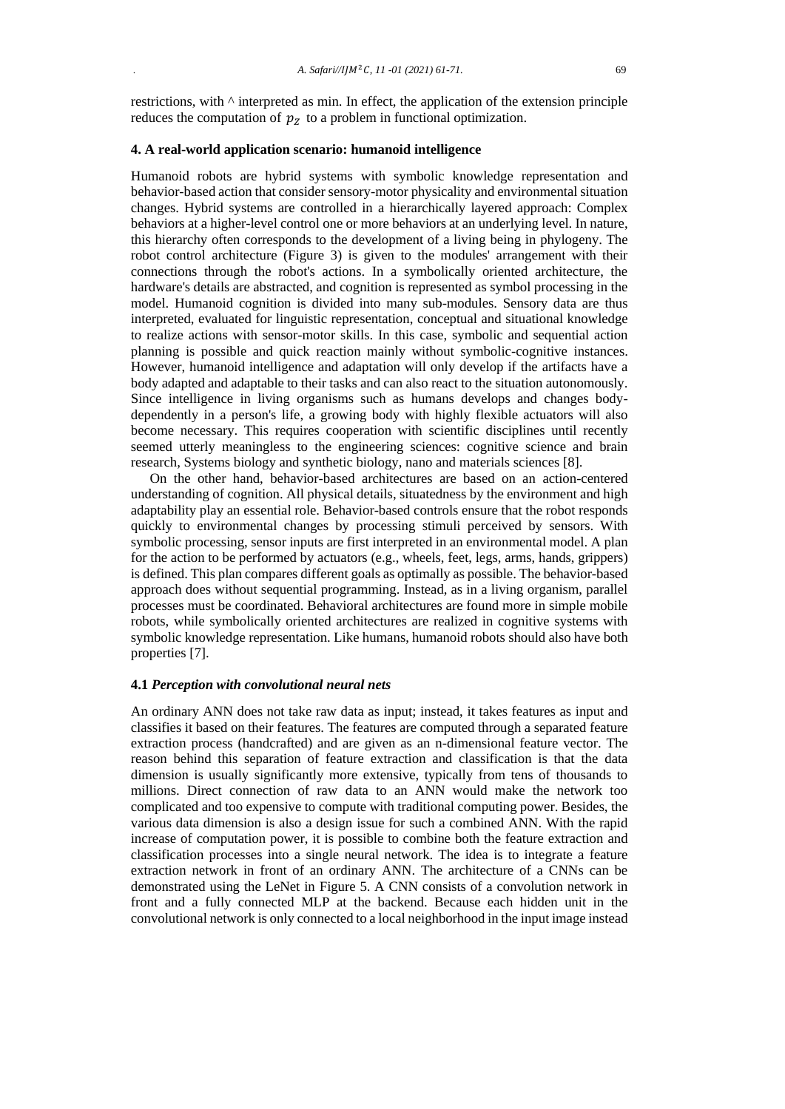restrictions, with ^ interpreted as min. In effect, the application of the extension principle reduces the computation of  $p<sub>z</sub>$  to a problem in functional optimization.

# **4. A real-world application scenario: humanoid intelligence**

Humanoid robots are hybrid systems with symbolic knowledge representation and behavior-based action that consider sensory-motor physicality and environmental situation changes. Hybrid systems are controlled in a hierarchically layered approach: Complex behaviors at a higher-level control one or more behaviors at an underlying level. In nature, this hierarchy often corresponds to the development of a living being in phylogeny. The robot control architecture (Figure 3) is given to the modules' arrangement with their connections through the robot's actions. In a symbolically oriented architecture, the hardware's details are abstracted, and cognition is represented as symbol processing in the model. Humanoid cognition is divided into many sub-modules. Sensory data are thus interpreted, evaluated for linguistic representation, conceptual and situational knowledge to realize actions with sensor-motor skills. In this case, symbolic and sequential action planning is possible and quick reaction mainly without symbolic-cognitive instances. However, humanoid intelligence and adaptation will only develop if the artifacts have a body adapted and adaptable to their tasks and can also react to the situation autonomously. Since intelligence in living organisms such as humans develops and changes bodydependently in a person's life, a growing body with highly flexible actuators will also become necessary. This requires cooperation with scientific disciplines until recently seemed utterly meaningless to the engineering sciences: cognitive science and brain research, Systems biology and synthetic biology, nano and materials sciences [8].

On the other hand, behavior-based architectures are based on an action-centered understanding of cognition. All physical details, situatedness by the environment and high adaptability play an essential role. Behavior-based controls ensure that the robot responds quickly to environmental changes by processing stimuli perceived by sensors. With symbolic processing, sensor inputs are first interpreted in an environmental model. A plan for the action to be performed by actuators (e.g., wheels, feet, legs, arms, hands, grippers) is defined. This plan compares different goals as optimally as possible. The behavior-based approach does without sequential programming. Instead, as in a living organism, parallel processes must be coordinated. Behavioral architectures are found more in simple mobile robots, while symbolically oriented architectures are realized in cognitive systems with symbolic knowledge representation. Like humans, humanoid robots should also have both properties [7].

# **4.1** *Perception with convolutional neural nets*

An ordinary ANN does not take raw data as input; instead, it takes features as input and classifies it based on their features. The features are computed through a separated feature extraction process (handcrafted) and are given as an n-dimensional feature vector. The reason behind this separation of feature extraction and classification is that the data dimension is usually significantly more extensive, typically from tens of thousands to millions. Direct connection of raw data to an ANN would make the network too complicated and too expensive to compute with traditional computing power. Besides, the various data dimension is also a design issue for such a combined ANN. With the rapid increase of computation power, it is possible to combine both the feature extraction and classification processes into a single neural network. The idea is to integrate a feature extraction network in front of an ordinary ANN. The architecture of a CNNs can be demonstrated using the LeNet in Figure 5. A CNN consists of a convolution network in front and a fully connected MLP at the backend. Because each hidden unit in the convolutional network is only connected to a local neighborhood in the input image instead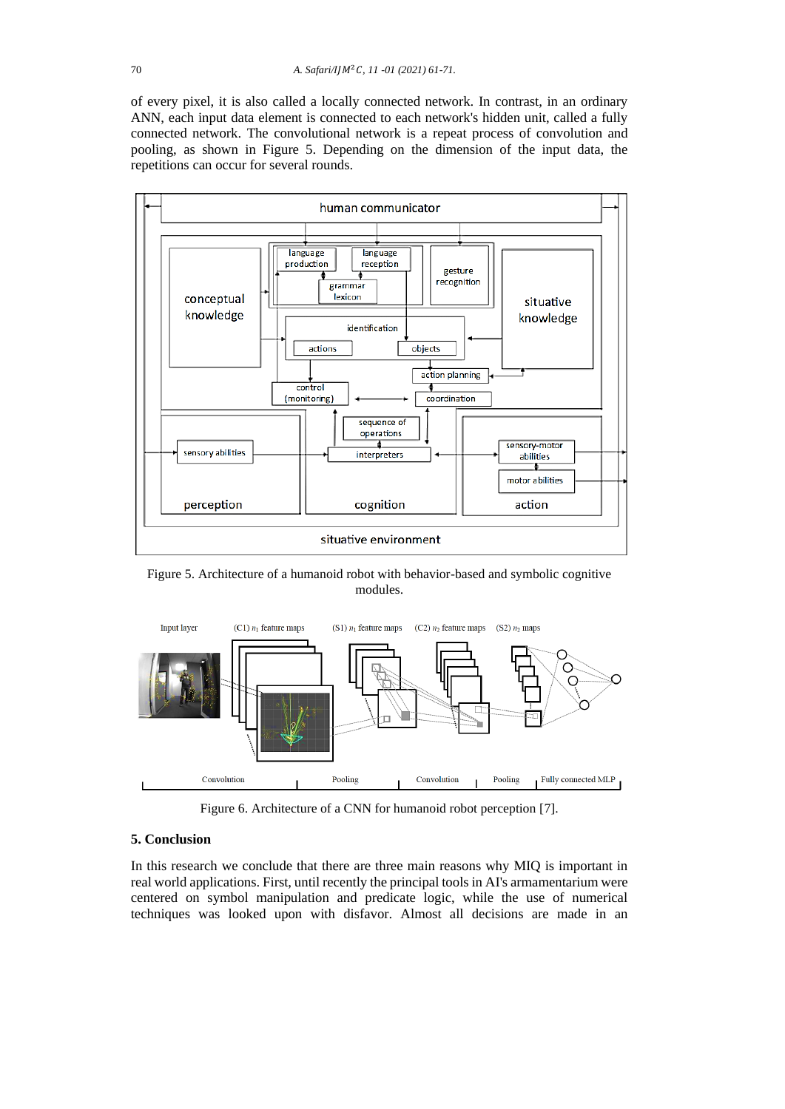of every pixel, it is also called a locally connected network. In contrast, in an ordinary ANN, each input data element is connected to each network's hidden unit, called a fully connected network. The convolutional network is a repeat process of convolution and pooling, as shown in Figure 5. Depending on the dimension of the input data, the repetitions can occur for several rounds.



Figure 5. Architecture of a humanoid robot with behavior-based and symbolic cognitive modules.



Figure 6. Architecture of a CNN for humanoid robot perception [7].

# **5. Conclusion**

In this research we conclude that there are three main reasons why MIQ is important in real world applications. First, until recently the principal tools in AI's armamentarium were centered on symbol manipulation and predicate logic, while the use of numerical techniques was looked upon with disfavor. Almost all decisions are made in an